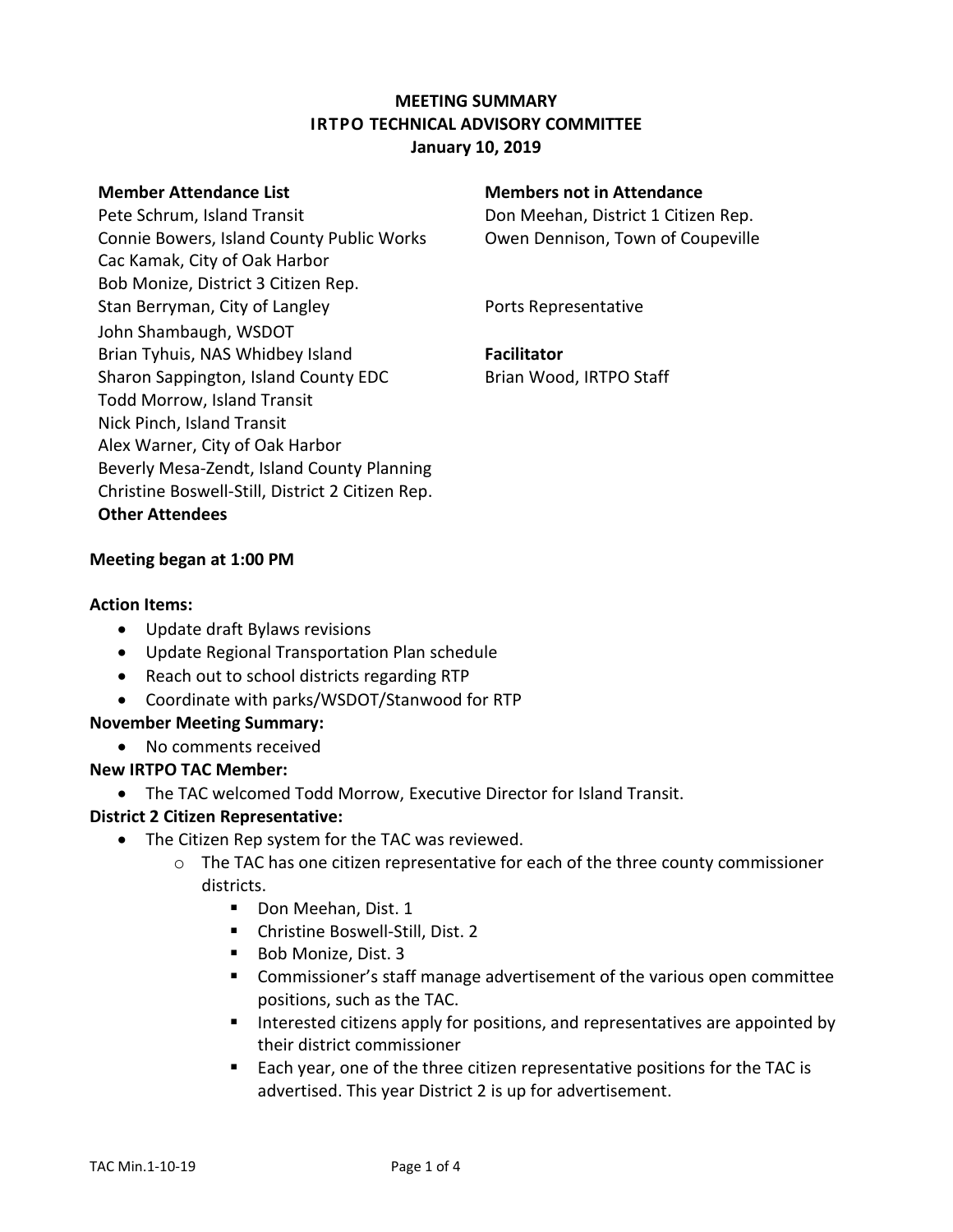# **MEETING SUMMARY IRTPO TECHNICAL ADVISORY COMMITTEE January 10, 2019**

Pete Schrum, Island Transit **Don Meehan, District 1 Citizen Rep.** Connie Bowers, Island County Public Works Owen Dennison, Town of Coupeville Cac Kamak, City of Oak Harbor Bob Monize, District 3 Citizen Rep. Stan Berryman, City of Langley **Example 20 Forts Representative** John Shambaugh, WSDOT Brian Tyhuis, NAS Whidbey Island **Facilitator** Sharon Sappington, Island County EDC Brian Wood, IRTPO Staff Todd Morrow, Island Transit Nick Pinch, Island Transit Alex Warner, City of Oak Harbor Beverly Mesa-Zendt, Island County Planning Christine Boswell-Still, District 2 Citizen Rep. **Other Attendees**

### **Member Attendance List Members not in Attendance**

### **Meeting began at 1:00 PM**

#### **Action Items:**

- Update draft Bylaws revisions
- Update Regional Transportation Plan schedule
- Reach out to school districts regarding RTP
- Coordinate with parks/WSDOT/Stanwood for RTP

### **November Meeting Summary:**

No comments received

### **New IRTPO TAC Member:**

The TAC welcomed Todd Morrow, Executive Director for Island Transit.

### **District 2 Citizen Representative:**

- The Citizen Rep system for the TAC was reviewed.
	- o The TAC has one citizen representative for each of the three county commissioner districts.
		- Don Meehan, Dist. 1
		- Christine Boswell-Still, Dist. 2
		- Bob Monize, Dist. 3
		- Commissioner's staff manage advertisement of the various open committee positions, such as the TAC.
		- Interested citizens apply for positions, and representatives are appointed by their district commissioner
		- Each year, one of the three citizen representative positions for the TAC is advertised. This year District 2 is up for advertisement.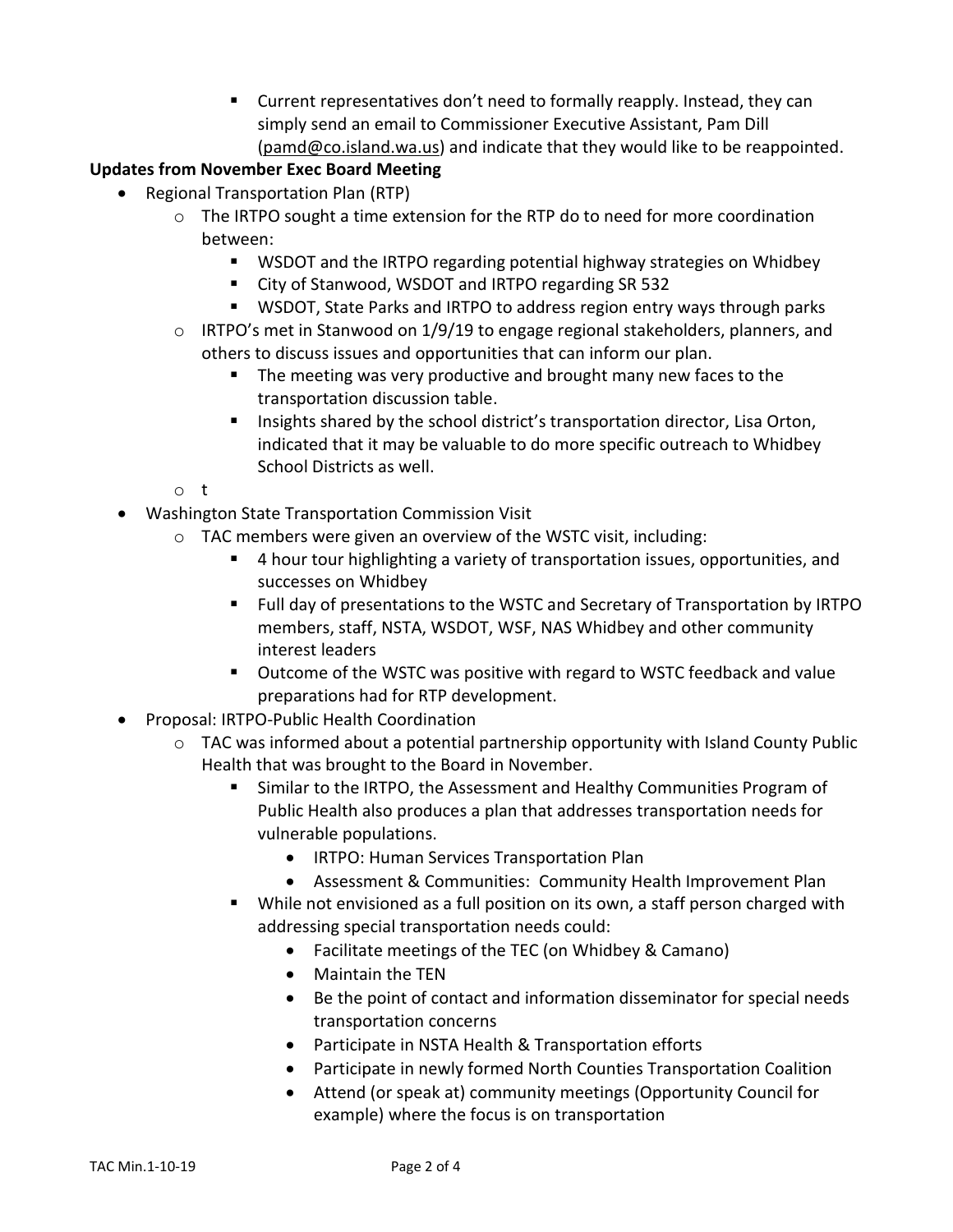Current representatives don't need to formally reapply. Instead, they can simply send an email to Commissioner Executive Assistant, Pam Dill [\(pamd@co.island.wa.us\)](mailto:pamd@co.island.wa.us) and indicate that they would like to be reappointed.

# **Updates from November Exec Board Meeting**

- Regional Transportation Plan (RTP)
	- $\circ$  The IRTPO sought a time extension for the RTP do to need for more coordination between:
		- WSDOT and the IRTPO regarding potential highway strategies on Whidbey
		- City of Stanwood, WSDOT and IRTPO regarding SR 532
		- WSDOT, State Parks and IRTPO to address region entry ways through parks
	- o IRTPO's met in Stanwood on 1/9/19 to engage regional stakeholders, planners, and others to discuss issues and opportunities that can inform our plan.
		- **The meeting was very productive and brought many new faces to the** transportation discussion table.
		- **Insights shared by the school district's transportation director, Lisa Orton,** indicated that it may be valuable to do more specific outreach to Whidbey School Districts as well.
	- o t
- Washington State Transportation Commission Visit
	- o TAC members were given an overview of the WSTC visit, including:
		- 4 hour tour highlighting a variety of transportation issues, opportunities, and successes on Whidbey
		- Full day of presentations to the WSTC and Secretary of Transportation by IRTPO members, staff, NSTA, WSDOT, WSF, NAS Whidbey and other community interest leaders
		- Outcome of the WSTC was positive with regard to WSTC feedback and value preparations had for RTP development.
- Proposal: IRTPO-Public Health Coordination
	- o TAC was informed about a potential partnership opportunity with Island County Public Health that was brought to the Board in November.
		- Similar to the IRTPO, the Assessment and Healthy Communities Program of Public Health also produces a plan that addresses transportation needs for vulnerable populations.
			- IRTPO: Human Services Transportation Plan
			- Assessment & Communities: Community Health Improvement Plan
		- While not envisioned as a full position on its own, a staff person charged with addressing special transportation needs could:
			- Facilitate meetings of the TEC (on Whidbey & Camano)
			- Maintain the TEN
			- Be the point of contact and information disseminator for special needs transportation concerns
			- Participate in NSTA Health & Transportation efforts
			- Participate in newly formed North Counties Transportation Coalition
			- Attend (or speak at) community meetings (Opportunity Council for example) where the focus is on transportation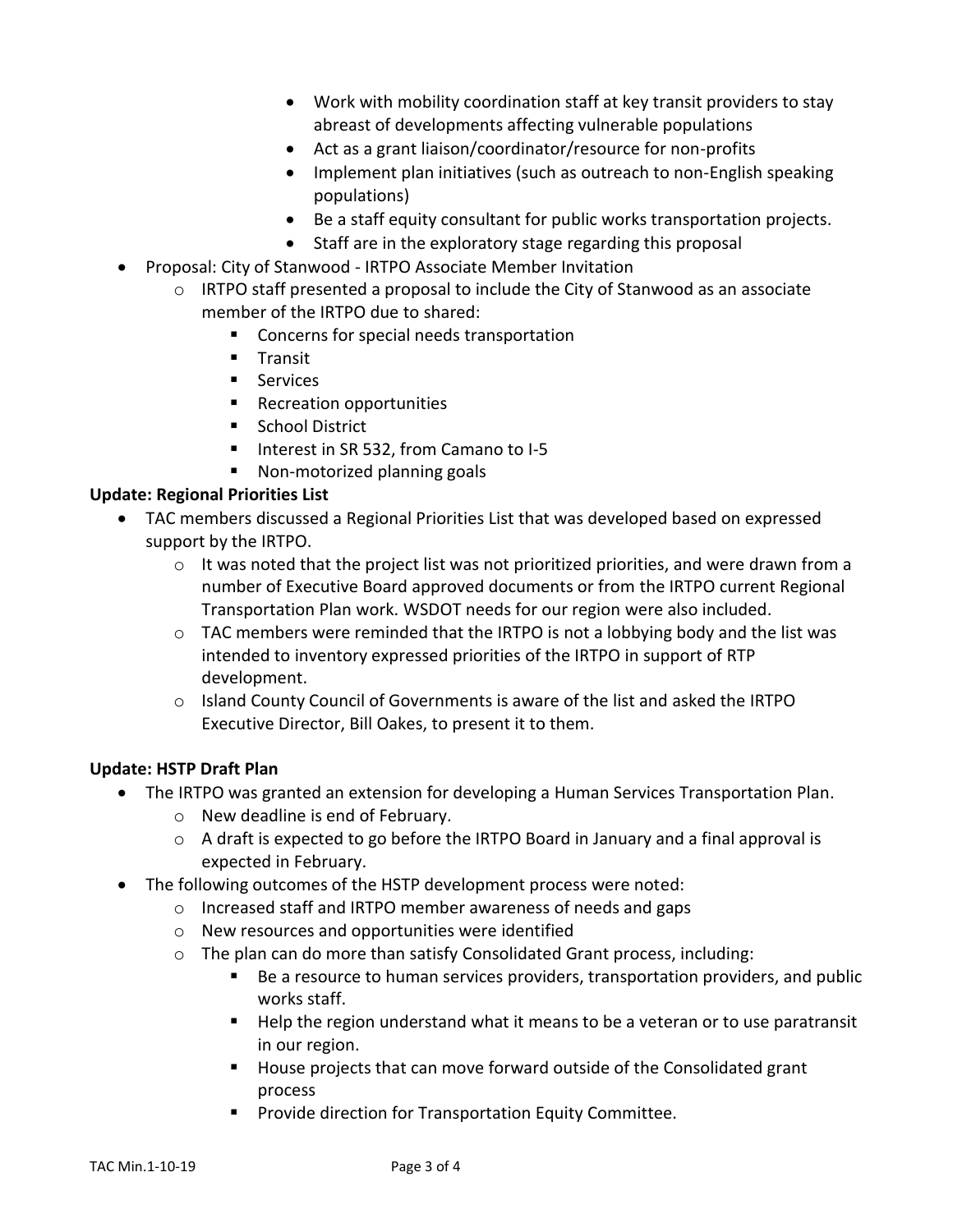- Work with mobility coordination staff at key transit providers to stay abreast of developments affecting vulnerable populations
- Act as a grant liaison/coordinator/resource for non-profits
- Implement plan initiatives (such as outreach to non-English speaking populations)
- Be a staff equity consultant for public works transportation projects.
- Staff are in the exploratory stage regarding this proposal
- Proposal: City of Stanwood IRTPO Associate Member Invitation
	- $\circ$  IRTPO staff presented a proposal to include the City of Stanwood as an associate member of the IRTPO due to shared:
		- Concerns for special needs transportation
		- $\blacksquare$  Transit
		- **Services**
		- Recreation opportunities
		- **School District**
		- Interest in SR 532, from Camano to I-5
		- Non-motorized planning goals

# **Update: Regional Priorities List**

- TAC members discussed a Regional Priorities List that was developed based on expressed support by the IRTPO.
	- o It was noted that the project list was not prioritized priorities, and were drawn from a number of Executive Board approved documents or from the IRTPO current Regional Transportation Plan work. WSDOT needs for our region were also included.
	- o TAC members were reminded that the IRTPO is not a lobbying body and the list was intended to inventory expressed priorities of the IRTPO in support of RTP development.
	- $\circ$  Island County Council of Governments is aware of the list and asked the IRTPO Executive Director, Bill Oakes, to present it to them.

# **Update: HSTP Draft Plan**

- The IRTPO was granted an extension for developing a Human Services Transportation Plan.
	- o New deadline is end of February.
	- o A draft is expected to go before the IRTPO Board in January and a final approval is expected in February.
- The following outcomes of the HSTP development process were noted:
	- o Increased staff and IRTPO member awareness of needs and gaps
	- o New resources and opportunities were identified
	- o The plan can do more than satisfy Consolidated Grant process, including:
		- Be a resource to human services providers, transportation providers, and public works staff.
		- Help the region understand what it means to be a veteran or to use paratransit in our region.
		- House projects that can move forward outside of the Consolidated grant process
		- **Provide direction for Transportation Equity Committee.**